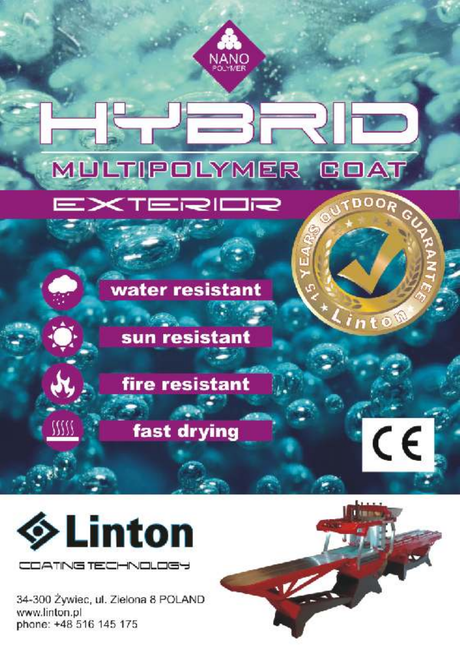



34-300 Żywiec, ul. Zielona 8 POLAND www.linton.pl phone: +48 516 145 175